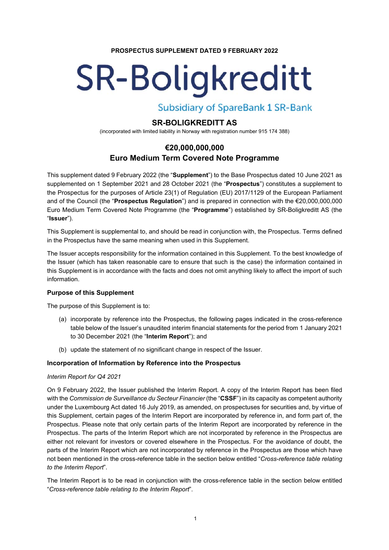### **PROSPECTUS SUPPLEMENT DATED 9 FEBRUARY 2022**

# **SR-Boligkreditt**

**Subsidiary of SpareBank 1 SR-Bank** 

# **SR-BOLIGKREDITT AS**

(incorporated with limited liability in Norway with registration number 915 174 388)

# **€20,000,000,000 Euro Medium Term Covered Note Programme**

This supplement dated 9 February 2022 (the "**Supplement**") to the Base Prospectus dated 10 June 2021 as supplemented on 1 September 2021 and 28 October 2021 (the "**Prospectus**") constitutes a supplement to the Prospectus for the purposes of Article 23(1) of Regulation (EU) 2017/1129 of the European Parliament and of the Council (the "**Prospectus Regulation**") and is prepared in connection with the €20,000,000,000 Euro Medium Term Covered Note Programme (the "**Programme**") established by SR-Boligkreditt AS (the "**Issuer**").

This Supplement is supplemental to, and should be read in conjunction with, the Prospectus. Terms defined in the Prospectus have the same meaning when used in this Supplement.

The Issuer accepts responsibility for the information contained in this Supplement. To the best knowledge of the Issuer (which has taken reasonable care to ensure that such is the case) the information contained in this Supplement is in accordance with the facts and does not omit anything likely to affect the import of such information.

# **Purpose of this Supplement**

The purpose of this Supplement is to:

- (a) incorporate by reference into the Prospectus, the following pages indicated in the cross-reference table below of the Issuer's unaudited interim financial statements for the period from 1 January 2021 to 30 December 2021 (the "**Interim Report**"); and
- (b) update the statement of no significant change in respect of the Issuer.

# **Incorporation of Information by Reference into the Prospectus**

# *Interim Report for Q4 2021*

On 9 February 2022, the Issuer published the Interim Report. A copy of the Interim Report has been filed with the *Commission de Surveillance du Secteur Financier* (the "**CSSF**") in its capacity as competent authority under the Luxembourg Act dated 16 July 2019, as amended, on prospectuses for securities and, by virtue of this Supplement, certain pages of the Interim Report are incorporated by reference in, and form part of, the Prospectus. Please note that only certain parts of the Interim Report are incorporated by reference in the Prospectus. The parts of the Interim Report which are not incorporated by reference in the Prospectus are either not relevant for investors or covered elsewhere in the Prospectus. For the avoidance of doubt, the parts of the Interim Report which are not incorporated by reference in the Prospectus are those which have not been mentioned in the cross-reference table in the section below entitled "*Cross-reference table relating to the Interim Report*".

The Interim Report is to be read in conjunction with the cross-reference table in the section below entitled "*Cross-reference table relating to the Interim Report*".